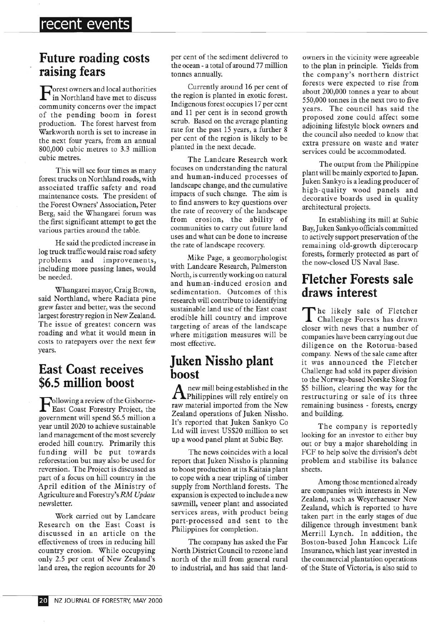### **Future roading costs raising fears**

 $\mathbf{F}$  orest owners and local authorities<br>in Northland have met to discuss in Northland have met to discuss community concerns over the impact of the pending boom in forest production. The forest harvest from Warkworth north is set to increase in the next four years, from an annual 800,000 cubic metres to 3.3 million cubic metres.

This will see four times as many forest trucks on Northland roads, with associated traffic safety and road maintenance costs. The president of the Forest Owners' Association, Peter Berg, said the Whangarei forum was the first significant attempt to get the various parties around the table.

He said the predicted increase in log truck traffic would raise road safety problems and improvements, including more passing lanes, would be needed.

Whangarei mayor, Craig Brown, said Northland, where Radiata pine grew faster and better, was the second largest forestry region in New Zealand. The issue of greatest concern was roading and what it would mean in costs to ratepayers over the next few years.

### **East Coast receives \$6.5 million boost**

Following a review of the Gisborne-<br>East Coast Forestry Project, the East Coast Forestry Project, the government will spend \$6.5 million a year until 2020 to achieve sustainable land management of the most severely eroded hill country. Primarily this funding will be put towards reforestation but may also be used for reversion. The Project is discussed as part of a focus on hill country in the April edition of the Ministry of Agriculture and Forestry's *RM Update*  newsletter.

Work carried out by Landcare Research on the East Coast is discussed in an article on the effectiveness of trees in reducing hill country erosion. While occupying only 2.5 per cent of New Zealand's land area, the region accounts for 20 per cent of the sediment delivered to the ocean - a total of around 77 million tonnes annually.

Currently around 16 per cent of the region is planted in exotic forest. Indigenous forest occupies 17 per cent and 11 per cent is in second growth scrub. Based on the average planting rate for the past 15 years, a further 8 per cent of the region is likely to be planted in the next decade.

The Landcare Research work focuses on understanding the natural and human-induced processes of landscape change, and the cumulative impacts of such change. The aim is to find answers to key questions over the rate of recovery of the landscape from erosion, the ability of communities to carry out future land uses and what can be done to increase the rate of landscape recovery.

Mike Page, a geomorphologist with Landcare Research, Palmerston North, is currently working on natural and human-induced erosion and sedimentation. Outcomes of this research will contribute to identifying sustainable land use of the East coast erodible hill country and improve targeting of areas of the landscape where mitigation measures will be most effective.

## **Juken Nissho plant boost**

 ${\rm A}$  new mill being established in the<br>Philippines will rely entirely on new mill being established in the raw material imported from the New Zealand operations of Juken Nissho. It's reported that Juken Sankyo Co Ltd will invest US\$20 million to set up a wood panel plant at Subic Bay.

The news coincides with a local report that Juken Nissho is planning to boost production at its Kaitaia plant to cope with a near tripling of timber supply from Northland forests. The expansion is expected to include a new sawmill, veneer plant and associated services areas, with product being part-processed and sent to the Philippines for completion.

The company has asked the Far North District Council to rezone land north of the mill from general rural to industrial, and has said that landowners in the vicinity were agreeable to the plan in principle. Yields from the company's northern district forests were expected to rise from about 200,000 tonnes a year to about 550,000 tonnes in the next two to five years. The council has said the proposed zone could affect some adjoining lifestyle block owners and the council also needed to know that extra pressure on waste and water services could be accommodated.

The output from the Philippine plant will be mainly exported to Japan. Juken Sankyo is a leading producer of high-quality wood panels and decorative boards used in quality architectural projects.

In establishing its mill at Subic Bay, Juken Sankyo officials committed to actively support preservation of the remaining old-growth dipterocarp forests, formerly protected as part of the now-closed US Naval Base.

# **Fletcher Forests sale draws interest**

The likely sale of Fletcher<br>Challenge Forests has drawn he likely sale of Fletcher closer with news that a number of companies have been carrying out due diligence on the Rotorua-based company. News of the sale came after it was announced the Fletcher Challenge had sold its paper division to the Norway-based Norske Skog for \$5 billion, clearing the way for the restructuring or sale of its three remaining business - forests, energy and building.

The company is reportedly looking for an investor to either buy out or buy a major shareholding in FCF to help solve the division's debt problem and stabilise its balance sheets.

Among those mentioned already are companies with interests in New Zealand, such as Weyerhaeuser New Zealand, which is reported to have taken part in the early stages of due diligence through investment bank Merrill Lynch. In addition, the Boston-based John Hancock Life Insurance, which last year invested in the commercial plantation operations of the State of Victoria, is also said to